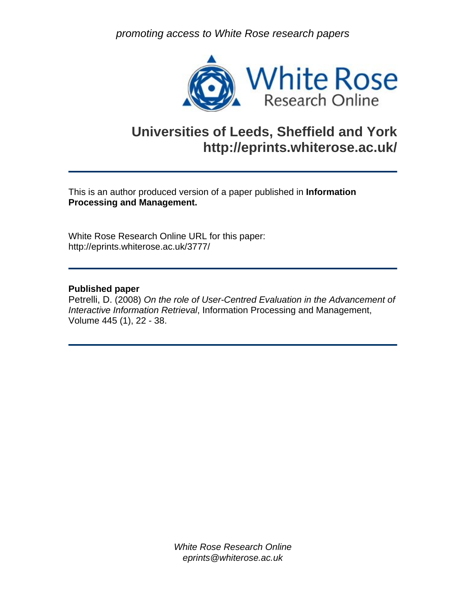*promoting access to White Rose research papers* 



# **Universities of Leeds, Sheffield and York http://eprints.whiterose.ac.uk/**

This is an author produced version of a paper published in **Information Processing and Management.** 

White Rose Research Online URL for this paper: http://eprints.whiterose.ac.uk/3777/

# **Published paper**

Petrelli, D. (2008) *On the role of User-Centred Evaluation in the Advancement of Interactive Information Retrieval*, Information Processing and Management, Volume 445 (1), 22 - 38.

> *White Rose Research Online eprints@whiterose.ac.uk*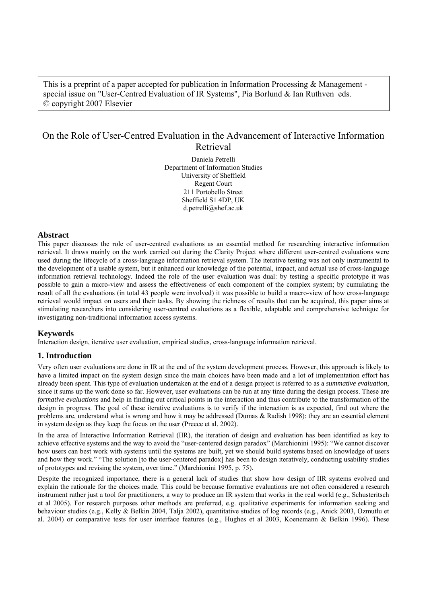This is a preprint of a paper accepted for publication in Information Processing & Management special issue on "User-Centred Evaluation of IR Systems", Pia Borlund & Ian Ruthven eds. © copyright 2007 Elsevier

# On the Role of User-Centred Evaluation in the Advancement of Interactive Information Retrieval

Daniela Petrelli Department of Information Studies University of Sheffield Regent Court 211 Portobello Street Sheffield S1 4DP, UK d.petrelli@shef.ac.uk

#### **Abstract**

This paper discusses the role of user-centred evaluations as an essential method for researching interactive information retrieval. It draws mainly on the work carried out during the Clarity Project where different user-centred evaluations were used during the lifecycle of a cross-language information retrieval system. The iterative testing was not only instrumental to the development of a usable system, but it enhanced our knowledge of the potential, impact, and actual use of cross-language information retrieval technology. Indeed the role of the user evaluation was dual: by testing a specific prototype it was possible to gain a micro-view and assess the effectiveness of each component of the complex system; by cumulating the result of all the evaluations (in total 43 people were involved) it was possible to build a macro-view of how cross-language retrieval would impact on users and their tasks. By showing the richness of results that can be acquired, this paper aims at stimulating researchers into considering user-centred evaluations as a flexible, adaptable and comprehensive technique for investigating non-traditional information access systems.

## **Keywords**

Interaction design, iterative user evaluation, empirical studies, cross-language information retrieval.

## **1. Introduction**

Very often user evaluations are done in IR at the end of the system development process. However, this approach is likely to have a limited impact on the system design since the main choices have been made and a lot of implementation effort has already been spent. This type of evaluation undertaken at the end of a design project is referred to as a *summative evaluation*, since it sums up the work done so far. However, user evaluations can be run at any time during the design process. These are *formative evaluations* and help in finding out critical points in the interaction and thus contribute to the transformation of the design in progress. The goal of these iterative evaluations is to verify if the interaction is as expected, find out where the problems are, understand what is wrong and how it may be addressed (Dumas & Radish 1998): they are an essential element in system design as they keep the focus on the user (Preece et al. 2002).

In the area of Interactive Information Retrieval (IIR), the iteration of design and evaluation has been identified as key to achieve effective systems and the way to avoid the "user-centered design paradox" (Marchionini 1995): "We cannot discover how users can best work with systems until the systems are built, yet we should build systems based on knowledge of users and how they work." "The solution [to the user-centered paradox] has been to design iteratively, conducting usability studies of prototypes and revising the system, over time." (Marchionini 1995, p. 75).

Despite the recognized importance, there is a general lack of studies that show how design of IIR systems evolved and explain the rationale for the choices made. This could be because formative evaluations are not often considered a research instrument rather just a tool for practitioners, a way to produce an IR system that works in the real world (e.g., Schusteritsch et al 2005). For research purposes other methods are preferred, e.g. qualitative experiments for information seeking and behaviour studies (e.g., Kelly & Belkin 2004, Talja 2002), quantitative studies of log records (e.g., Anick 2003, Ozmutlu et al. 2004) or comparative tests for user interface features (e.g., Hughes et al 2003, Koenemann & Belkin 1996). These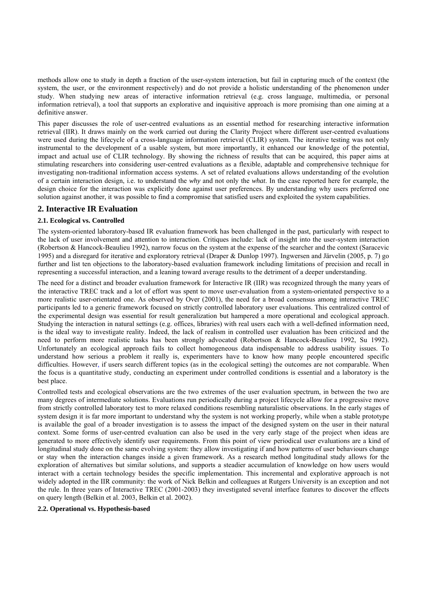methods allow one to study in depth a fraction of the user-system interaction, but fail in capturing much of the context (the system, the user, or the environment respectively) and do not provide a holistic understanding of the phenomenon under study. When studying new areas of interactive information retrieval (e.g. cross language, multimedia, or personal information retrieval), a tool that supports an explorative and inquisitive approach is more promising than one aiming at a definitive answer.

This paper discusses the role of user-centred evaluations as an essential method for researching interactive information retrieval (IIR). It draws mainly on the work carried out during the Clarity Project where different user-centred evaluations were used during the lifecycle of a cross-language information retrieval (CLIR) system. The iterative testing was not only instrumental to the development of a usable system, but more importantly, it enhanced our knowledge of the potential, impact and actual use of CLIR technology. By showing the richness of results that can be acquired, this paper aims at stimulating researchers into considering user-centred evaluations as a flexible, adaptable and comprehensive technique for investigating non-traditional information access systems. A set of related evaluations allows understanding of the evolution of a certain interaction design, i.e. to understand the *why* and not only the *what*. In the case reported here for example, the design choice for the interaction was explicitly done against user preferences. By understanding why users preferred one solution against another, it was possible to find a compromise that satisfied users and exploited the system capabilities.

## **2. Interactive IR Evaluation**

#### **2.1. Ecological vs. Controlled**

The system-oriented laboratory-based IR evaluation framework has been challenged in the past, particularly with respect to the lack of user involvement and attention to interaction. Critiques include: lack of insight into the user-system interaction (Robertson & Hancock-Beaulieu 1992), narrow focus on the system at the expense of the searcher and the context (Saracevic 1995) and a disregard for iterative and exploratory retrieval (Draper & Dunlop 1997). Ingwersen and Järvelin (2005, p. 7) go further and list ten objections to the laboratory-based evaluation framework including limitations of precision and recall in representing a successful interaction, and a leaning toward average results to the detriment of a deeper understanding.

The need for a distinct and broader evaluation framework for Interactive IR (IIR) was recognized through the many years of the interactive TREC track and a lot of effort was spent to move user-evaluation from a system-orientated perspective to a more realistic user-orientated one. As observed by Over (2001), the need for a broad consensus among interactive TREC participants led to a generic framework focused on strictly controlled laboratory user evaluations. This centralized control of the experimental design was essential for result generalization but hampered a more operational and ecological approach. Studying the interaction in natural settings (e.g. offices, libraries) with real users each with a well-defined information need, is the ideal way to investigate reality. Indeed, the lack of realism in controlled user evaluation has been criticized and the need to perform more realistic tasks has been strongly advocated (Robertson & Hancock-Beaulieu 1992, Su 1992). Unfortunately an ecological approach fails to collect homogeneous data indispensable to address usability issues. To understand how serious a problem it really is, experimenters have to know how many people encountered specific difficulties. However, if users search different topics (as in the ecological setting) the outcomes are not comparable. When the focus is a quantitative study, conducting an experiment under controlled conditions is essential and a laboratory is the best place.

Controlled tests and ecological observations are the two extremes of the user evaluation spectrum, in between the two are many degrees of intermediate solutions. Evaluations run periodically during a project lifecycle allow for a progressive move from strictly controlled laboratory test to more relaxed conditions resembling naturalistic observations. In the early stages of system design it is far more important to understand why the system is not working properly, while when a stable prototype is available the goal of a broader investigation is to assess the impact of the designed system on the user in their natural context. Some forms of user-centred evaluation can also be used in the very early stage of the project when ideas are generated to more effectively identify user requirements. From this point of view periodical user evaluations are a kind of longitudinal study done on the same evolving system: they allow investigating if and how patterns of user behaviours change or stay when the interaction changes inside a given framework. As a research method longitudinal study allows for the exploration of alternatives but similar solutions, and supports a steadier accumulation of knowledge on how users would interact with a certain technology besides the specific implementation. This incremental and explorative approach is not widely adopted in the IIR community: the work of Nick Belkin and colleagues at Rutgers University is an exception and not the rule. In three years of Interactive TREC (2001-2003) they investigated several interface features to discover the effects on query length (Belkin et al. 2003, Belkin et al. 2002).

**2.2. Operational vs. Hypothesis-based**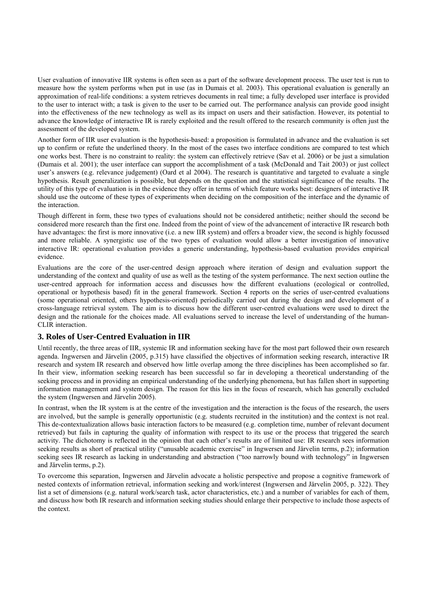User evaluation of innovative IIR systems is often seen as a part of the software development process. The user test is run to measure how the system performs when put in use (as in Dumais et al. 2003). This operational evaluation is generally an approximation of real-life conditions: a system retrieves documents in real time; a fully developed user interface is provided to the user to interact with; a task is given to the user to be carried out. The performance analysis can provide good insight into the effectiveness of the new technology as well as its impact on users and their satisfaction. However, its potential to advance the knowledge of interactive IR is rarely exploited and the result offered to the research community is often just the assessment of the developed system.

Another form of IIR user evaluation is the hypothesis-based: a proposition is formulated in advance and the evaluation is set up to confirm or refute the underlined theory. In the most of the cases two interface conditions are compared to test which one works best. There is no constraint to reality: the system can effectively retrieve (Sav et al. 2006) or be just a simulation (Dumais et al. 2001); the user interface can support the accomplishment of a task (McDonald and Tait 2003) or just collect user's answers (e.g. relevance judgement) (Oard et al 2004). The research is quantitative and targeted to evaluate a single hypothesis. Result generalization is possible, but depends on the question and the statistical significance of the results. The utility of this type of evaluation is in the evidence they offer in terms of which feature works best: designers of interactive IR should use the outcome of these types of experiments when deciding on the composition of the interface and the dynamic of the interaction.

Though different in form, these two types of evaluations should not be considered antithetic; neither should the second be considered more research than the first one. Indeed from the point of view of the advancement of interactive IR research both have advantages: the first is more innovative (i.e. a new IIR system) and offers a broader view, the second is highly focussed and more reliable. A synergistic use of the two types of evaluation would allow a better investigation of innovative interactive IR: operational evaluation provides a generic understanding, hypothesis-based evaluation provides empirical evidence.

Evaluations are the core of the user-centred design approach where iteration of design and evaluation support the understanding of the context and quality of use as well as the testing of the system performance. The next section outline the user-centred approach for information access and discusses how the different evaluations (ecological or controlled, operational or hypothesis based) fit in the general framework. Section 4 reports on the series of user-centred evaluations (some operational oriented, others hypothesis-oriented) periodically carried out during the design and development of a cross-language retrieval system. The aim is to discuss how the different user-centred evaluations were used to direct the design and the rationale for the choices made. All evaluations served to increase the level of understanding of the human-CLIR interaction.

## **3. Roles of User-Centred Evaluation in IIR**

Until recently, the three areas of IIR, systemic IR and information seeking have for the most part followed their own research agenda. Ingwersen and Järvelin (2005, p.315) have classified the objectives of information seeking research, interactive IR research and system IR research and observed how little overlap among the three disciplines has been accomplished so far. In their view, information seeking research has been successful so far in developing a theoretical understanding of the seeking process and in providing an empirical understanding of the underlying phenomena, but has fallen short in supporting information management and system design. The reason for this lies in the focus of research, which has generally excluded the system (Ingwersen and Järvelin 2005).

In contrast, when the IR system is at the centre of the investigation and the interaction is the focus of the research, the users are involved, but the sample is generally opportunistic (e.g. students recruited in the institution) and the context is not real. This de-contextualization allows basic interaction factors to be measured (e.g. completion time, number of relevant document retrieved) but fails in capturing the quality of information with respect to its use or the process that triggered the search activity. The dichotomy is reflected in the opinion that each other's results are of limited use: IR research sees information seeking results as short of practical utility ("unusable academic exercise" in Ingwersen and Järvelin terms, p.2); information seeking sees IR research as lacking in understanding and abstraction ("too narrowly bound with technology" in Ingwersen and Järvelin terms, p.2).

To overcome this separation, Ingwersen and Järvelin advocate a holistic perspective and propose a cognitive framework of nested contexts of information retrieval, information seeking and work/interest (Ingwersen and Järvelin 2005, p. 322). They list a set of dimensions (e.g. natural work/search task, actor characteristics, etc.) and a number of variables for each of them, and discuss how both IR research and information seeking studies should enlarge their perspective to include those aspects of the context.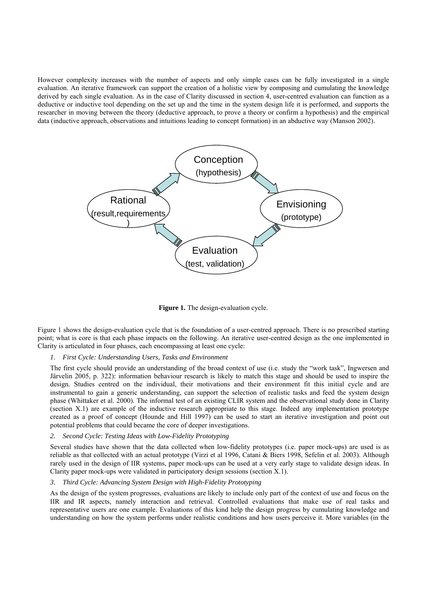However complexity increases with the number of aspects and only simple cases can be fully investigated in a single evaluation. An iterative framework can support the creation of a holistic view by composing and cumulating the knowledge derived by each single evaluation. As in the case of Clarity discussed in section 4, user-centred evaluation can function as a deductive or inductive tool depending on the set up and the time in the system design life it is performed, and supports the researcher in moving between the theory (deductive approach, to prove a theory or confirm a hypothesis) and the empirical data (inductive approach, observations and intuitions leading to concept formation) in an abductive way (Manson 2002).



**Figure 1.** The design-evaluation cycle.

Figure 1 shows the design-evaluation cycle that is the foundation of a user-centred approach. There is no prescribed starting point; what is core is that each phase impacts on the following. An iterative user-centred design as the one implemented in Clarity is articulated in four phases, each encompassing at least one cycle:

#### *1. First Cycle: Understanding Users, Tasks and Environment*

The first cycle should provide an understanding of the broad context of use (i.e. study the "work task", Ingwersen and Järvelin 2005, p. 322): information behaviour research is likely to match this stage and should be used to inspire the design. Studies centred on the individual, their motivations and their environment fit this initial cycle and are instrumental to gain a generic understanding, can support the selection of realistic tasks and feed the system design phase (Whittaker et al. 2000). The informal test of an existing CLIR system and the observational study done in Clarity (section X.1) are example of the inductive research appropriate to this stage. Indeed any implementation prototype created as a proof of concept (Hounde and Hill 1997) can be used to start an iterative investigation and point out potential problems that could became the core of deeper investigations.

#### *2. Second Cycle: Testing Ideas with Low-Fidelity Prototyping*

Several studies have shown that the data collected when low-fidelity prototypes (i.e. paper mock-ups) are used is as reliable as that collected with an actual prototype (Virzi et al 1996, Catani & Biers 1998, Sefelin et al. 2003). Although rarely used in the design of IIR systems, paper mock-ups can be used at a very early stage to validate design ideas. In Clarity paper mock-ups were validated in participatory design sessions (section X.1).

#### *3. Third Cycle: Advancing System Design with High-Fidelity Prototyping*

As the design of the system progresses, evaluations are likely to include only part of the context of use and focus on the IIR and IR aspects, namely interaction and retrieval. Controlled evaluations that make use of real tasks and representative users are one example. Evaluations of this kind help the design progress by cumulating knowledge and understanding on how the system performs under realistic conditions and how users perceive it. More variables (in the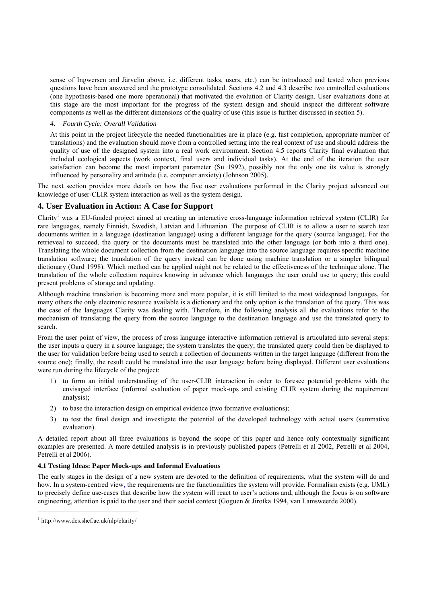sense of Ingwersen and Järvelin above, i.e. different tasks, users, etc.) can be introduced and tested when previous questions have been answered and the prototype consolidated. Sections 4.2 and 4.3 describe two controlled evaluations (one hypothesis-based one more operational) that motivated the evolution of Clarity design. User evaluations done at this stage are the most important for the progress of the system design and should inspect the different software components as well as the different dimensions of the quality of use (this issue is further discussed in section 5).

#### *4. Fourth Cycle: Overall Validation*

At this point in the project lifecycle the needed functionalities are in place (e.g. fast completion, appropriate number of translations) and the evaluation should move from a controlled setting into the real context of use and should address the quality of use of the designed system into a real work environment. Section 4.5 reports Clarity final evaluation that included ecological aspects (work context, final users and individual tasks). At the end of the iteration the user satisfaction can become the most important parameter (Su 1992), possibly not the only one its value is strongly influenced by personality and attitude (i.e. computer anxiety) (Johnson 2005).

The next section provides more details on how the five user evaluations performed in the Clarity project advanced out knowledge of user-CLIR system interaction as well as the system design.

## **4. User Evaluation in Action: A Case for Support**

Clarity<sup>1</sup> was a EU-funded project aimed at creating an interactive cross-language information retrieval system (CLIR) for rare languages, namely Finnish, Swedish, Latvian and Lithuanian. The purpose of CLIR is to allow a user to search text documents written in a language (destination language) using a different language for the query (source language). For the retrieveal to succeed, the query or the documents must be translated into the other language (or both into a third one). Translating the whole document collection from the destination language into the source language requires specific machine translation software; the translation of the query instead can be done using machine translation or a simpler bilingual dictionary (Oard 1998). Which method can be applied might not be related to the effectiveness of the technique alone. The translation of the whole collection requires knowing in advance which languages the user could use to query; this could present problems of storage and updating.

Although machine translation is becoming more and more popular, it is still limited to the most widespread languages, for many others the only electronic resource available is a dictionary and the only option is the translation of the query. This was the case of the languages Clarity was dealing with. Therefore, in the following analysis all the evaluations refer to the mechanism of translating the query from the source language to the destination language and use the translated query to search.

From the user point of view, the process of cross language interactive information retrieval is articulated into several steps: the user inputs a query in a source language; the system translates the query; the translated query could then be displayed to the user for validation before being used to search a collection of documents written in the target language (different from the source one); finally, the result could be translated into the user language before being displayed. Different user evaluations were run during the lifecycle of the project:

- 1) to form an initial understanding of the user-CLIR interaction in order to foresee potential problems with the envisaged interface (informal evaluation of paper mock-ups and existing CLIR system during the requirement analysis);
- 2) to base the interaction design on empirical evidence (two formative evaluations);
- 3) to test the final design and investigate the potential of the developed technology with actual users (summative evaluation).

A detailed report about all three evaluations is beyond the scope of this paper and hence only contextually significant examples are presented. A more detailed analysis is in previously published papers (Petrelli et al 2002, Petrelli et al 2004, Petrelli et al 2006).

#### **4.1 Testing Ideas: Paper Mock-ups and Informal Evaluations**

The early stages in the design of a new system are devoted to the definition of requirements, what the system will do and how. In a system-centred view, the requirements are the functionalities the system will provide. Formalism exists (e.g. UML) to precisely define use-cases that describe how the system will react to user's actions and, although the focus is on software engineering, attention is paid to the user and their social context (Goguen & Jirotka 1994, van Lamsweerde 2000).

1

<sup>1</sup> http://www.dcs.shef.ac.uk/nlp/clarity/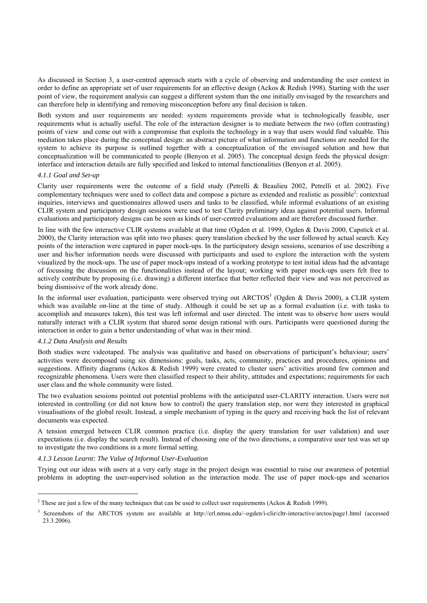As discussed in Section 3, a user-centred approach starts with a cycle of observing and understanding the user context in order to define an appropriate set of user requirements for an effective design (Ackos & Redish 1998). Starting with the user point of view, the requirement analysis can suggest a different system than the one initially envisaged by the researchers and can therefore help in identifying and removing misconception before any final decision is taken.

Both system and user requirements are needed: system requirements provide what is technologically feasible, user requirements what is actually useful. The role of the interaction designer is to mediate between the two (often contrasting) points of view and come out with a compromise that exploits the technology in a way that users would find valuable. This mediation takes place during the conceptual design: an abstract picture of what information and functions are needed for the system to achieve its purpose is outlined together with a conceptualization of the envisaged solution and how that conceptualization will be communicated to people (Benyon et al. 2005). The conceptual design feeds the physical design: interface and interaction details are fully specified and linked to internal functionalities (Benyon et al. 2005).

#### *4.1.1 Goal and Set-up*

Clarity user requirements were the outcome of a field study (Petrelli & Beaulieu 2002, Petrelli et al. 2002). Five complementary techniques were used to collect data and compose a picture as extended and realistic as possible<sup>2</sup>: contextual inquiries, interviews and questionnaires allowed users and tasks to be classified, while informal evaluations of an existing CLIR system and participatory design sessions were used to test Clarity preliminary ideas against potential users. Informal evaluations and participatory designs can be seen as kinds of user-centred evaluations and are therefore discussed further.

In line with the few interactive CLIR systems available at that time (Ogden et al. 1999, Ogden & Davis 2000, Capstick et al. 2000), the Clarity interaction was split into two phases: query translation checked by the user followed by actual search. Key points of the interaction were captured in paper mock-ups. In the participatory design sessions, scenarios of use describing a user and his/her information needs were discussed with participants and used to explore the interaction with the system visualized by the mock-ups. The use of paper mock-ups instead of a working prototype to test initial ideas had the advantage of focussing the discussion on the functionalities instead of the layout; working with paper mock-ups users felt free to actively contribute by proposing (i.e. drawing) a different interface that better reflected their view and was not perceived as being dismissive of the work already done.

In the informal user evaluation, participants were observed trying out ARCTOS<sup>3</sup> (Ogden & Davis 2000), a CLIR system which was available on-line at the time of study. Although it could be set up as a formal evaluation (i.e. with tasks to accomplish and measures taken), this test was left informal and user directed. The intent was to observe how users would naturally interact with a CLIR system that shared some design rational with ours. Participants were questioned during the interaction in order to gain a better understanding of what was in their mind.

#### *4.1.2 Data Analysis and Results*

<u>.</u>

Both studies were videotaped. The analysis was qualitative and based on observations of participant's behaviour; users' activities were decomposed using six dimensions: goals, tasks, acts, community, practices and procedures, opinions and suggestions. Affinity diagrams (Ackos & Redish 1999) were created to cluster users' activities around few common and recognizable phenomena. Users were then classified respect to their ability, attitudes and expectations; requirements for each user class and the whole community were listed.

The two evaluation sessions pointed out potential problems with the anticipated user-CLARITY interaction. Users were not interested in controlling (or did not know how to control) the query translation step, nor were they interested in graphical visualisations of the global result. Instead, a simple mechanism of typing in the query and receiving back the list of relevant documents was expected.

A tension emerged between CLIR common practice (i.e. display the query translation for user validation) and user expectations (i.e. display the search result). Instead of choosing one of the two directions, a comparative user test was set up to investigate the two conditions in a more formal setting.

#### *4.1.3 Lesson Learnt: The Value of Informal User-Evaluation*

Trying out our ideas with users at a very early stage in the project design was essential to raise our awareness of potential problems in adopting the user-supervised solution as the interaction mode. The use of paper mock-ups and scenarios

<sup>&</sup>lt;sup>2</sup> These are just a few of the many techniques that can be used to collect user requirements (Ackos & Redish 1999).

<sup>3</sup> Screenshots of the ARCTOS system are available at http://crl.nmsu.edu/~ogden/i-clir/cltr-interactive/arctos/page1.html (accessed 23.3.2006).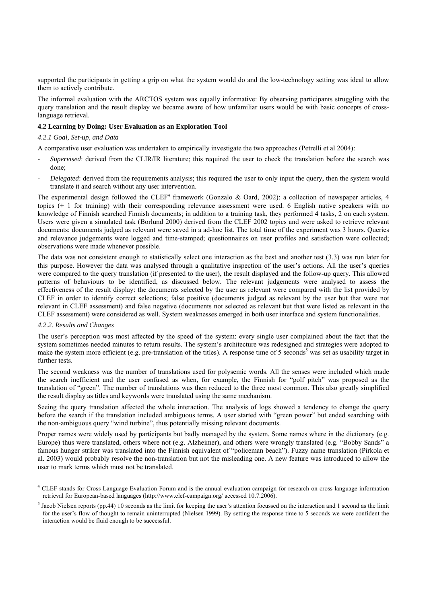supported the participants in getting a grip on what the system would do and the low-technology setting was ideal to allow them to actively contribute.

The informal evaluation with the ARCTOS system was equally informative: By observing participants struggling with the query translation and the result display we became aware of how unfamiliar users would be with basic concepts of crosslanguage retrieval.

#### **4.2 Learning by Doing: User Evaluation as an Exploration Tool**

### *4.2.1 Goal, Set-up, and Data*

A comparative user evaluation was undertaken to empirically investigate the two approaches (Petrelli et al 2004):

- *Supervised*: derived from the CLIR/IR literature; this required the user to check the translation before the search was done;
- *Delegated*: derived from the requirements analysis; this required the user to only input the query, then the system would translate it and search without any user intervention.

The experimental design followed the CLEF<sup>4</sup> framework (Gonzalo & Oard, 2002): a collection of newspaper articles, 4 topics (+ 1 for training) with their corresponding relevance assessment were used. 6 English native speakers with no knowledge of Finnish searched Finnish documents; in addition to a training task, they performed 4 tasks, 2 on each system. Users were given a simulated task (Borlund 2000) derived from the CLEF 2002 topics and were asked to retrieve relevant documents; documents judged as relevant were saved in a ad-hoc list. The total time of the experiment was 3 hours. Queries and relevance judgements were logged and time-stamped; questionnaires on user profiles and satisfaction were collected; observations were made whenever possible.

The data was not consistent enough to statistically select one interaction as the best and another test (3.3) was run later for this purpose. However the data was analysed through a qualitative inspection of the user's actions. All the user's queries were compared to the query translation (if presented to the user), the result displayed and the follow-up query. This allowed patterns of behaviours to be identified, as discussed below. The relevant judgements were analysed to assess the effectiveness of the result display: the documents selected by the user as relevant were compared with the list provided by CLEF in order to identify correct selections; false positive (documents judged as relevant by the user but that were not relevant in CLEF assessment) and false negative (documents not selected as relevant but that were listed as relevant in the CLEF assessment) were considered as well. System weaknesses emerged in both user interface and system functionalities.

#### *4.2.2. Results and Changes*

<u>.</u>

The user's perception was most affected by the speed of the system: every single user complained about the fact that the system sometimes needed minutes to return results. The system's architecture was redesigned and strategies were adopted to make the system more efficient (e.g. pre-translation of the titles). A response time of 5 seconds<sup>5</sup> was set as usability target in further tests.

The second weakness was the number of translations used for polysemic words. All the senses were included which made the search inefficient and the user confused as when, for example, the Finnish for "golf pitch" was proposed as the translation of "green". The number of translations was then reduced to the three most common. This also greatly simplified the result display as titles and keywords were translated using the same mechanism.

Seeing the query translation affected the whole interaction. The analysis of logs showed a tendency to change the query before the search if the translation included ambiguous terms. A user started with "green power" but ended searching with the non-ambiguous query "wind turbine", thus potentially missing relevant documents.

Proper names were widely used by participants but badly managed by the system. Some names where in the dictionary (e.g. Europe) thus were translated, others where not (e.g. Alzheimer), and others were wrongly translated (e.g. "Bobby Sands" a famous hunger striker was translated into the Finnish equivalent of "policeman beach"). Fuzzy name translation (Pirkola et al. 2003) would probably resolve the non-translation but not the misleading one. A new feature was introduced to allow the user to mark terms which must not be translated.

<sup>4</sup> CLEF stands for Cross Language Evaluation Forum and is the annual evaluation campaign for research on cross language information retrieval for European-based languages (http://www.clef-campaign.org/ accessed 10.7.2006).

 $<sup>5</sup>$  Jacob Nielsen reports (pp.44) 10 seconds as the limit for keeping the user's attention focussed on the interaction and 1 second as the limit</sup> for the user's flow of thought to remain uninterrupted (Nielsen 1999). By setting the response time to 5 seconds we were confident the interaction would be fluid enough to be successful.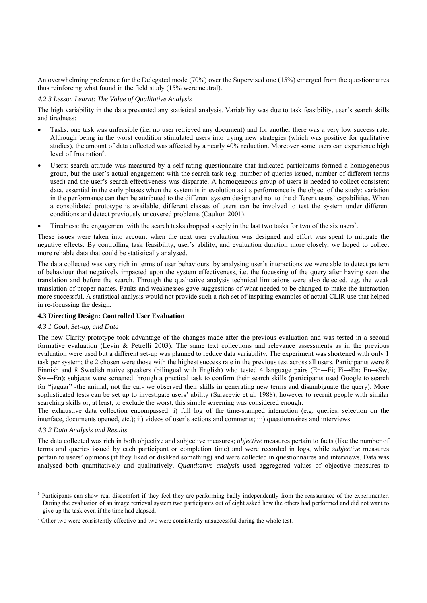An overwhelming preference for the Delegated mode (70%) over the Supervised one (15%) emerged from the questionnaires thus reinforcing what found in the field study (15% were neutral).

#### *4.2.3 Lesson Learnt: The Value of Qualitative Analysis*

The high variability in the data prevented any statistical analysis. Variability was due to task feasibility, user's search skills and tiredness:

- Tasks: one task was unfeasible (i.e. no user retrieved any document) and for another there was a very low success rate. Although being in the worst condition stimulated users into trying new strategies (which was positive for qualitative studies), the amount of data collected was affected by a nearly 40% reduction. Moreover some users can experience high level of frustration<sup>6</sup>.
- Users: search attitude was measured by a self-rating questionnaire that indicated participants formed a homogeneous group, but the user's actual engagement with the search task (e.g. number of queries issued, number of different terms used) and the user's search effectiveness was disparate. A homogeneous group of users is needed to collect consistent data, essential in the early phases when the system is in evolution as its performance is the object of the study: variation in the performance can then be attributed to the different system design and not to the different users' capabilities. When a consolidated prototype is available, different classes of users can be involved to test the system under different conditions and detect previously uncovered problems (Caulton 2001).
- Tiredness: the engagement with the search tasks dropped steeply in the last two tasks for two of the six users<sup>7</sup>.

These issues were taken into account when the next user evaluation was designed and effort was spent to mitigate the negative effects. By controlling task feasibility, user's ability, and evaluation duration more closely, we hoped to collect more reliable data that could be statistically analysed.

The data collected was very rich in terms of user behaviours: by analysing user's interactions we were able to detect pattern of behaviour that negatively impacted upon the system effectiveness, i.e. the focussing of the query after having seen the translation and before the search. Through the qualitative analysis technical limitations were also detected, e.g. the weak translation of proper names. Faults and weaknesses gave suggestions of what needed to be changed to make the interaction more successful. A statistical analysis would not provide such a rich set of inspiring examples of actual CLIR use that helped in re-focussing the design.

#### **4.3 Directing Design: Controlled User Evaluation**

#### *4.3.1 Goal, Set-up, and Data*

The new Clarity prototype took advantage of the changes made after the previous evaluation and was tested in a second formative evaluation (Levin & Petrelli 2003). The same text collections and relevance assessments as in the previous evaluation were used but a different set-up was planned to reduce data variability. The experiment was shortened with only 1 task per system; the 2 chosen were those with the highest success rate in the previous test across all users. Participants were 8 Finnish and 8 Swedish native speakers (bilingual with English) who tested 4 language pairs (En→Fi; Fi→En; En→Sw; Sw→En); subjects were screened through a practical task to confirm their search skills (participants used Google to search for "jaguar" -the animal, not the car- we observed their skills in generating new terms and disambiguate the query). More sophisticated tests can be set up to investigate users' ability (Saracevic et al. 1988), however to recruit people with similar searching skills or, at least, to exclude the worst, this simple screening was considered enough.

The exhaustive data collection encompassed: i) full log of the time-stamped interaction (e.g. queries, selection on the interface, documents opened, etc.); ii) videos of user's actions and comments; iii) questionnaires and interviews.

#### *4.3.2 Data Analysis and Results*

1

The data collected was rich in both objective and subjective measures; *objective* measures pertain to facts (like the number of terms and queries issued by each participant or completion time) and were recorded in logs, while *subjective* measures pertain to users' opinions (if they liked or disliked something) and were collected in questionnaires and interviews. Data was analysed both quantitatively and qualitatively. *Quantitative analysis* used aggregated values of objective measures to

<sup>&</sup>lt;sup>6</sup> Participants can show real discomfort if they feel they are performing badly independently from the reassurance of the experimenter. During the evaluation of an image retrieval system two participants out of eight asked how the others had performed and did not want to give up the task even if the time had elapsed.

 $<sup>7</sup>$  Other two were consistently effective and two were consistently unsuccessful during the whole test.</sup>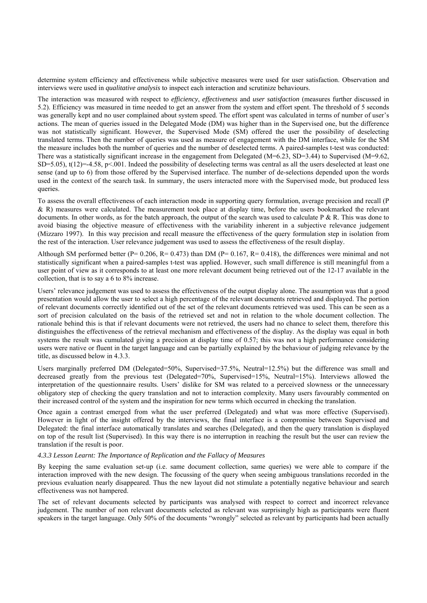determine system efficiency and effectiveness while subjective measures were used for user satisfaction. Observation and interviews were used in *qualitative analysis* to inspect each interaction and scrutinize behaviours.

The interaction was measured with respect to *efficiency*, *effectiveness* and *user satisfaction* (measures further discussed in 5.2). Efficiency was measured in time needed to get an answer from the system and effort spent. The threshold of 5 seconds was generally kept and no user complained about system speed. The effort spent was calculated in terms of number of user's actions. The mean of queries issued in the Delegated Mode (DM) was higher than in the Supervised one, but the difference was not statistically significant. However, the Supervised Mode (SM) offered the user the possibility of deselecting translated terms. Then the number of queries was used as measure of engagement with the DM interface, while for the SM the measure includes both the number of queries and the number of deselected terms. A paired-samples t-test was conducted: There was a statistically significant increase in the engagement from Delegated (M=6.23, SD=3.44) to Supervised (M=9.62, SD=5.05),  $t(12)$ =-4.58,  $p \le 0.001$ . Indeed the possibility of deselecting terms was central as all the users deselected at least one sense (and up to 6) from those offered by the Supervised interface. The number of de-selections depended upon the words used in the context of the search task. In summary, the users interacted more with the Supervised mode, but produced less queries.

To assess the overall effectiveness of each interaction mode in supporting query formulation, average precision and recall (P & R) measures were calculated. The measurement took place at display time, before the users bookmarked the relevant documents. In other words, as for the batch approach, the output of the search was used to calculate  $P \& R$ . This was done to avoid biasing the objective measure of effectiveness with the variability inherent in a subjective relevance judgement (Mizzaro 1997). In this way precision and recall measure the effectiveness of the query formulation step in isolation from the rest of the interaction. User relevance judgement was used to assess the effectiveness of the result display.

Although SM performed better (P=  $0.206$ , R=  $0.473$ ) than DM (P=  $0.167$ , R=  $0.418$ ), the differences were minimal and not statistically significant when a paired-samples t-test was applied. However, such small difference is still meaningful from a user point of view as it corresponds to at least one more relevant document being retrieved out of the 12-17 available in the collection, that is to say a 6 to 8% increase.

Users' relevance judgement was used to assess the effectiveness of the output display alone. The assumption was that a good presentation would allow the user to select a high percentage of the relevant documents retrieved and displayed. The portion of relevant documents correctly identified out of the set of the relevant documents retrieved was used. This can be seen as a sort of precision calculated on the basis of the retrieved set and not in relation to the whole document collection. The rationale behind this is that if relevant documents were not retrieved, the users had no chance to select them, therefore this distinguishes the effectiveness of the retrieval mechanism and effectiveness of the display. As the display was equal in both systems the result was cumulated giving a precision at display time of 0.57; this was not a high performance considering users were native or fluent in the target language and can be partially explained by the behaviour of judging relevance by the title, as discussed below in 4.3.3.

Users marginally preferred DM (Delegated=50%, Supervised=37.5%, Neutral=12.5%) but the difference was small and decreased greatly from the previous test (Delegated=70%, Supervised=15%, Neutral=15%). Interviews allowed the interpretation of the questionnaire results. Users' dislike for SM was related to a perceived slowness or the unnecessary obligatory step of checking the query translation and not to interaction complexity. Many users favourably commented on their increased control of the system and the inspiration for new terms which occurred in checking the translation.

Once again a contrast emerged from what the user preferred (Delegated) and what was more effective (Supervised). However in light of the insight offered by the interviews, the final interface is a compromise between Supervised and Delegated: the final interface automatically translates and searches (Delegated), and then the query translation is displayed on top of the result list (Supervised). In this way there is no interruption in reaching the result but the user can review the translation if the result is poor.

#### *4.3.3 Lesson Learnt: The Importance of Replication and the Fallacy of Measures*

By keeping the same evaluation set-up (i.e. same document collection, same queries) we were able to compare if the interaction improved with the new design. The focussing of the query when seeing ambiguous translations recorded in the previous evaluation nearly disappeared. Thus the new layout did not stimulate a potentially negative behaviour and search effectiveness was not hampered.

The set of relevant documents selected by participants was analysed with respect to correct and incorrect relevance judgement. The number of non relevant documents selected as relevant was surprisingly high as participants were fluent speakers in the target language. Only 50% of the documents "wrongly" selected as relevant by participants had been actually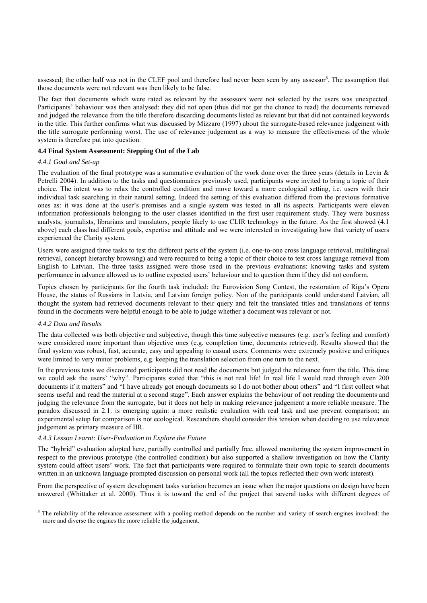assessed; the other half was not in the CLEF pool and therefore had never been seen by any assessor<sup>8</sup>. The assumption that those documents were not relevant was then likely to be false.

The fact that documents which were rated as relevant by the assessors were not selected by the users was unexpected. Participants' behaviour was then analysed: they did not open (thus did not get the chance to read) the documents retrieved and judged the relevance from the title therefore discarding documents listed as relevant but that did not contained keywords in the title. This further confirms what was discussed by Mizzaro (1997) about the surrogate-based relevance judgement with the title surrogate performing worst. The use of relevance judgement as a way to measure the effectiveness of the whole system is therefore put into question.

#### **4.4 Final System Assessment: Stepping Out of the Lab**

#### *4.4.1 Goal and Set-up*

The evaluation of the final prototype was a summative evaluation of the work done over the three years (details in Levin  $\&$ Petrelli 2004). In addition to the tasks and questionnaires previously used, participants were invited to bring a topic of their choice. The intent was to relax the controlled condition and move toward a more ecological setting, i.e. users with their individual task searching in their natural setting. Indeed the setting of this evaluation differed from the previous formative ones as: it was done at the user's premises and a single system was tested in all its aspects. Participants were eleven information professionals belonging to the user classes identified in the first user requirement study. They were business analysts, journalists, librarians and translators, people likely to use CLIR technology in the future. As the first showed (4.1 above) each class had different goals, expertise and attitude and we were interested in investigating how that variety of users experienced the Clarity system.

Users were assigned three tasks to test the different parts of the system (i.e. one-to-one cross language retrieval, multilingual retrieval, concept hierarchy browsing) and were required to bring a topic of their choice to test cross language retrieval from English to Latvian. The three tasks assigned were those used in the previous evaluations: knowing tasks and system performance in advance allowed us to outline expected users' behaviour and to question them if they did not conform.

Topics chosen by participants for the fourth task included: the Eurovision Song Contest, the restoration of Riga's Opera House, the status of Russians in Latvia, and Latvian foreign policy. Non of the participants could understand Latvian, all thought the system had retrieved documents relevant to their query and felt the translated titles and translations of terms found in the documents were helpful enough to be able to judge whether a document was relevant or not.

#### *4.4.2 Data and Results*

-

The data collected was both objective and subjective, though this time subjective measures (e.g. user's feeling and comfort) were considered more important than objective ones (e.g. completion time, documents retrieved). Results showed that the final system was robust, fast, accurate, easy and appealing to casual users. Comments were extremely positive and critiques were limited to very minor problems, e.g. keeping the translation selection from one turn to the next.

In the previous tests we discovered participants did not read the documents but judged the relevance from the title. This time we could ask the users' "why". Participants stated that "this is not real life! In real life I would read through even 200 documents if it matters" and "I have already got enough documents so I do not bother about others" and "I first collect what seems useful and read the material at a second stage". Each answer explains the behaviour of not reading the documents and judging the relevance from the surrogate, but it does not help in making relevance judgement a more reliable measure. The paradox discussed in 2.1. is emerging again: a more realistic evaluation with real task and use prevent comparison; an experimental setup for comparison is not ecological. Researchers should consider this tension when deciding to use relevance judgement as primary measure of IIR.

#### *4.4.3 Lesson Learnt: User-Evaluation to Explore the Future*

The "hybrid" evaluation adopted here, partially controlled and partially free, allowed monitoring the system improvement in respect to the previous prototype (the controlled condition) but also supported a shallow investigation on how the Clarity system could affect users' work. The fact that participants were required to formulate their own topic to search documents written in an unknown language prompted discussion on personal work (all the topics reflected their own work interest).

From the perspective of system development tasks variation becomes an issue when the major questions on design have been answered (Whittaker et al. 2000). Thus it is toward the end of the project that several tasks with different degrees of

<sup>8</sup> The reliability of the relevance assessment with a pooling method depends on the number and variety of search engines involved: the more and diverse the engines the more reliable the judgement.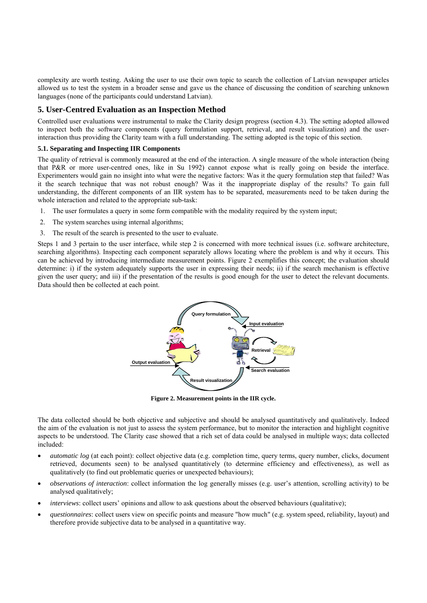complexity are worth testing. Asking the user to use their own topic to search the collection of Latvian newspaper articles allowed us to test the system in a broader sense and gave us the chance of discussing the condition of searching unknown languages (none of the participants could understand Latvian).

## **5. User-Centred Evaluation as an Inspection Method**

Controlled user evaluations were instrumental to make the Clarity design progress (section 4.3). The setting adopted allowed to inspect both the software components (query formulation support, retrieval, and result visualization) and the userinteraction thus providing the Clarity team with a full understanding. The setting adopted is the topic of this section.

#### **5.1. Separating and Inspecting IIR Components**

The quality of retrieval is commonly measured at the end of the interaction. A single measure of the whole interaction (being that P&R or more user-centred ones, like in Su 1992) cannot expose what is really going on beside the interface. Experimenters would gain no insight into what were the negative factors: Was it the query formulation step that failed? Was it the search technique that was not robust enough? Was it the inappropriate display of the results? To gain full understanding, the different components of an IIR system has to be separated, measurements need to be taken during the whole interaction and related to the appropriate sub-task:

- 1. The user formulates a query in some form compatible with the modality required by the system input;
- 2. The system searches using internal algorithms;
- 3. The result of the search is presented to the user to evaluate.

Steps 1 and 3 pertain to the user interface, while step 2 is concerned with more technical issues (i.e. software architecture, searching algorithms). Inspecting each component separately allows locating where the problem is and why it occurs. This can be achieved by introducing intermediate measurement points. Figure 2 exemplifies this concept; the evaluation should determine: i) if the system adequately supports the user in expressing their needs; ii) if the search mechanism is effective given the user query; and iii) if the presentation of the results is good enough for the user to detect the relevant documents. Data should then be collected at each point.



**Figure 2. Measurement points in the IIR cycle.**

The data collected should be both objective and subjective and should be analysed quantitatively and qualitatively. Indeed the aim of the evaluation is not just to assess the system performance, but to monitor the interaction and highlight cognitive aspects to be understood. The Clarity case showed that a rich set of data could be analysed in multiple ways; data collected included:

- *automatic log* (at each point): collect objective data (e.g. completion time, query terms, query number, clicks, document retrieved, documents seen) to be analysed quantitatively (to determine efficiency and effectiveness), as well as qualitatively (to find out problematic queries or unexpected behaviours);
- *observations of interaction*: collect information the log generally misses (e.g. user's attention, scrolling activity) to be analysed qualitatively;
- *interviews*: collect users' opinions and allow to ask questions about the observed behaviours (qualitative);
- *questionnaires*: collect users view on specific points and measure "how much" (e.g. system speed, reliability, layout) and therefore provide subjective data to be analysed in a quantitative way.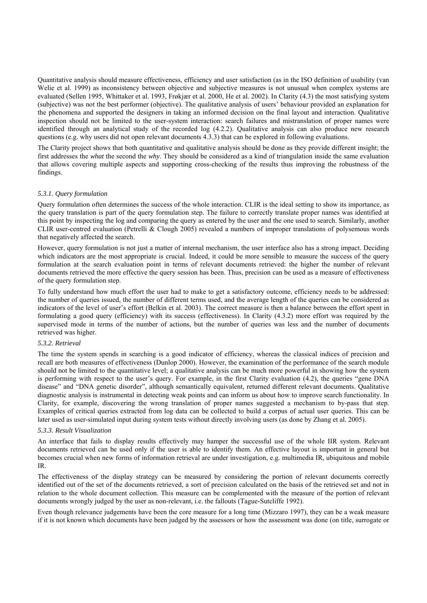Quantitative analysis should measure effectiveness, efficiency and user satisfaction (as in the ISO definition of usability (van Welie et al. 1999) as inconsistency between objective and subjective measures is not unusual when complex systems are evaluated (Sellen 1995, Whittaker et al. 1993, Frøkjær et al. 2000, He et al. 2002). In Clarity (4.3) the most satisfying system (subjective) was not the best performer (objective). The qualitative analysis of users' behaviour provided an explanation for the phenomena and supported the designers in taking an informed decision on the final layout and interaction. Qualitative inspection should not be limited to the user-system interaction: search failures and mistranslation of proper names were identified through an analytical study of the recorded log (4.2.2). Qualitative analysis can also produce new research questions (e.g. why users did not open relevant documents 4.3.3) that can be explored in following evaluations.

The Clarity project shows that both quantitative and qualitative analysis should be done as they provide different insight; the first addresses the *what* the second the *why*. They should be considered as a kind of triangulation inside the same evaluation that allows covering multiple aspects and supporting cross-checking of the results thus improving the robustness of the findings.

#### *5.3.1. Query formulation*

Query formulation often determines the success of the whole interaction. CLIR is the ideal setting to show its importance, as the query translation is part of the query formulation step. The failure to correctly translate proper names was identified at this point by inspecting the log and comparing the query as entered by the user and the one used to search. Similarly, another CLIR user-centred evaluation (Petrelli & Clough 2005) revealed a numbers of improper translations of polysemous words that negatively affected the search.

However, query formulation is not just a matter of internal mechanism, the user interface also has a strong impact. Deciding which indicators are the most appropriate is crucial. Indeed, it could be more sensible to measure the success of the query formulation at the search evaluation point in terms of relevant documents retrieved: the higher the number of relevant documents retrieved the more effective the query session has been. Thus, precision can be used as a measure of effectiveness of the query formulation step.

To fully understand how much effort the user had to make to get a satisfactory outcome, efficiency needs to be addressed: the number of queries issued, the number of different terms used, and the average length of the queries can be considered as indicators of the level of user's effort (Belkin et al. 2003). The correct measure is then a balance between the effort spent in formulating a good query (efficiency) with its success (effectiveness). In Clarity (4.3.2) more effort was required by the supervised mode in terms of the number of actions, but the number of queries was less and the number of documents retrieved was higher.

#### *5.3.2. Retrieval*

The time the system spends in searching is a good indicator of efficiency, whereas the classical indices of precision and recall are both measures of effectiveness (Dunlop 2000). However, the examination of the performance of the search module should not be limited to the quantitative level; a qualitative analysis can be much more powerful in showing how the system is performing with respect to the user's query. For example, in the first Clarity evaluation (4.2), the queries "gene DNA disease" and "DNA genetic disorder", although semantically equivalent, returned different relevant documents. Qualitative diagnostic analysis is instrumental in detecting weak points and can inform us about how to improve search functionality. In Clarity, for example, discovering the wrong translation of proper names suggested a mechanism to by-pass that step. Examples of critical queries extracted from log data can be collected to build a corpus of actual user queries. This can be later used as user-simulated input during system tests without directly involving users (as done by Zhang et al. 2005).

#### *5.3.3. Result Visualization*

An interface that fails to display results effectively may hamper the successful use of the whole IIR system. Relevant documents retrieved can be used only if the user is able to identify them. An effective layout is important in general but becomes crucial when new forms of information retrieval are under investigation, e.g. multimedia IR, ubiquitous and mobile IR.

The effectiveness of the display strategy can be measured by considering the portion of relevant documents correctly identified out of the set of the documents retrieved, a sort of precision calculated on the basis of the retrieved set and not in relation to the whole document collection. This measure can be complemented with the measure of the portion of relevant documents wrongly judged by the user as non-relevant, i.e. the fallouts (Tague-Sutcliffe 1992).

Even though relevance judgements have been the core measure for a long time (Mizzaro 1997), they can be a weak measure if it is not known which documents have been judged by the assessors or how the assessment was done (on title, surrogate or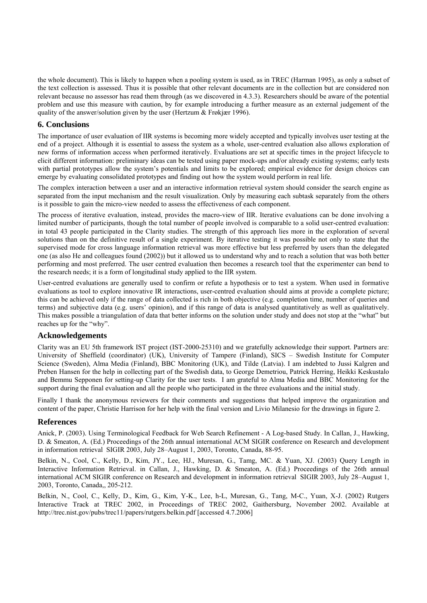the whole document). This is likely to happen when a pooling system is used, as in TREC (Harman 1995), as only a subset of the text collection is assessed. Thus it is possible that other relevant documents are in the collection but are considered non relevant because no assessor has read them through (as we discovered in 4.3.3). Researchers should be aware of the potential problem and use this measure with caution, by for example introducing a further measure as an external judgement of the quality of the answer/solution given by the user (Hertzum & Frøkjær 1996).

## **6. Conclusions**

The importance of user evaluation of IIR systems is becoming more widely accepted and typically involves user testing at the end of a project. Although it is essential to assess the system as a whole, user-centred evaluation also allows exploration of new forms of information access when performed iteratively. Evaluations are set at specific times in the project lifecycle to elicit different information: preliminary ideas can be tested using paper mock-ups and/or already existing systems; early tests with partial prototypes allow the system's potentials and limits to be explored; empirical evidence for design choices can emerge by evaluating consolidated prototypes and finding out how the system would perform in real life.

The complex interaction between a user and an interactive information retrieval system should consider the search engine as separated from the input mechanism and the result visualization. Only by measuring each subtask separately from the others is it possible to gain the micro-view needed to assess the effectiveness of each component.

The process of iterative evaluation, instead, provides the macro-view of IIR. Iterative evaluations can be done involving a limited number of participants, though the total number of people involved is comparable to a solid user-centred evaluation: in total 43 people participated in the Clarity studies. The strength of this approach lies more in the exploration of several solutions than on the definitive result of a single experiment. By iterative testing it was possible not only to state that the supervised mode for cross language information retrieval was more effective but less preferred by users than the delegated one (as also He and colleagues found (2002)) but it allowed us to understand why and to reach a solution that was both better performing and most preferred. The user centred evaluation then becomes a research tool that the experimenter can bend to the research needs; it is a form of longitudinal study applied to the IIR system.

User-centred evaluations are generally used to confirm or refute a hypothesis or to test a system. When used in formative evaluations as tool to explore innovative IR interactions, user-centred evaluation should aims at provide a complete picture; this can be achieved only if the range of data collected is rich in both objective (e.g. completion time, number of queries and terms) and subjective data (e.g. users' opinion), and if this range of data is analysed quantitatively as well as qualitatively. This makes possible a triangulation of data that better informs on the solution under study and does not stop at the "what" but reaches up for the "why".

## **Acknowledgements**

Clarity was an EU 5th framework IST project (IST-2000-25310) and we gratefully acknowledge their support. Partners are: University of Sheffield (coordinator) (UK), University of Tampere (Finland), SICS – Swedish Institute for Computer Science (Sweden), Alma Media (Finland), BBC Monitoring (UK), and Tilde (Latvia). I am indebted to Jussi Kalgren and Preben Hansen for the help in collecting part of the Swedish data, to George Demetriou, Patrick Herring, Heikki Keskustalo and Bemmu Sepponen for setting-up Clarity for the user tests. I am grateful to Alma Media and BBC Monitoring for the support during the final evaluation and all the people who participated in the three evaluations and the initial study.

Finally I thank the anonymous reviewers for their comments and suggestions that helped improve the organization and content of the paper, Christie Harrison for her help with the final version and Livio Milanesio for the drawings in figure 2.

## **References**

Anick, P. (2003). Using Terminological Feedback for Web Search Refinement - A Log-based Study. In Callan, J., Hawking, D. & Smeaton, A. (Ed.) Proceedings of the 26th annual international ACM SIGIR conference on Research and development in information retrieval SIGIR 2003, July 28–August 1, 2003, Toronto, Canada, 88-95.

Belkin, N., Cool, C., Kelly, D., Kim, JY., Lee, HJ., Muresan, G., Tamg, MC. & Yuan, XJ. (2003) Query Length in Interactive Information Retrieval. in Callan, J., Hawking, D. & Smeaton, A. (Ed.) Proceedings of the 26th annual international ACM SIGIR conference on Research and development in information retrieval SIGIR 2003, July 28–August 1, 2003, Toronto, Canada,, 205-212.

Belkin, N., Cool, C., Kelly, D., Kim, G., Kim, Y-K., Lee, h-L, Muresan, G., Tang, M-C., Yuan, X-J. (2002) Rutgers Interactive Track at TREC 2002, in Proceedings of TREC 2002, Gaithersburg, November 2002. Available at http://trec.nist.gov/pubs/trec11/papers/rutgers.belkin.pdf [accessed 4.7.2006]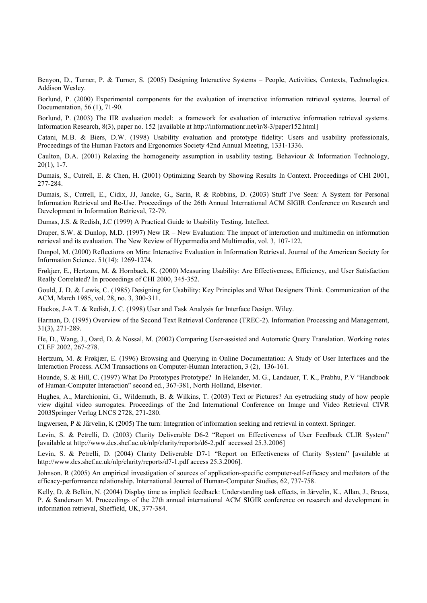Benyon, D., Turner, P. & Turner, S. (2005) Designing Interactive Systems – People, Activities, Contexts, Technologies. Addison Wesley.

Borlund, P. (2000) Experimental components for the evaluation of interactive information retrieval systems. Journal of Documentation, 56 (1), 71-90.

Borlund, P. (2003) The IIR evaluation model: a framework for evaluation of interactive information retrieval systems. Information Research, 8(3), paper no. 152 [available at http://informationr.net/ir/8-3/paper152.html]

Catani, M.B. & Biers, D.W. (1998) Usability evaluation and prototype fidelity: Users and usability professionals, Proceedings of the Human Factors and Ergonomics Society 42nd Annual Meeting, 1331-1336.

Caulton, D.A. (2001) Relaxing the homogeneity assumption in usability testing. Behaviour & Information Technology,  $20(1)$ , 1-7.

Dumais, S., Cutrell, E. & Chen, H. (2001) Optimizing Search by Showing Results In Context. Proceedings of CHI 2001, 277-284.

Dumais, S., Cutrell, E., Cidix, JJ, Jancke, G., Sarin, R & Robbins, D. (2003) Stuff I've Seen: A System for Personal Information Retrieval and Re-Use. Proceedings of the 26th Annual International ACM SIGIR Conference on Research and Development in Information Retrieval, 72-79.

Dumas, J.S. & Redish, J.C (1999) A Practical Guide to Usability Testing. Intellect.

Draper, S.W. & Dunlop, M.D. (1997) New IR – New Evaluation: The impact of interaction and multimedia on information retrieval and its evaluation. The New Review of Hypermedia and Multimedia, vol. 3, 107-122.

Dunpol, M. (2000) Reflections on Mira: Interactive Evaluation in Information Retrieval. Journal of the American Society for Information Science. 51(14): 1269-1274.

Frøkjær, E., Hertzum, M. & Hornbaek, K. (2000) Measuring Usability: Are Effectiveness, Efficiency, and User Satisfaction Really Correlated? In proceedings of CHI 2000, 345-352.

Gould, J. D. & Lewis, C. (1985) Designing for Usability: Key Principles and What Designers Think. Communication of the ACM, March 1985, vol. 28, no. 3, 300-311.

Hackos, J-A T. & Redish, J. C. (1998) User and Task Analysis for Interface Design. Wiley.

Harman, D. (1995) Overview of the Second Text Retrieval Conference (TREC-2). Information Processing and Management, 31(3), 271-289.

He, D., Wang, J., Oard, D. & Nossal, M. (2002) Comparing User-assisted and Automatic Query Translation. Working notes CLEF 2002, 267-278.

Hertzum, M. & Frøkjær, E. (1996) Browsing and Querying in Online Documentation: A Study of User Interfaces and the Interaction Process. ACM Transactions on Computer-Human Interaction, 3 (2), 136-161.

Hounde, S. & Hill, C. (1997) What Do Prototypes Prototype? In Helander, M. G., Landauer, T. K., Prabhu, P.V "Handbook of Human-Computer Interaction" second ed., 367-381, North Holland, Elsevier.

Hughes, A., Marchionini, G., Wildemuth, B. & Wilkins, T. (2003) Text or Pictures? An eyetracking study of how people view digital video surrogates. Proceedings of the 2nd International Conference on Image and Video Retrieval CIVR 2003Springer Verlag LNCS 2728, 271-280.

Ingwersen, P & Järvelin, K (2005) The turn: Integration of information seeking and retrieval in context. Springer.

Levin, S. & Petrelli, D. (2003) Clarity Deliverable D6-2 "Report on Effectiveness of User Feedback CLIR System" [available at http://www.dcs.shef.ac.uk/nlp/clarity/reports/d6-2.pdf accessed 25.3.2006]

Levin, S. & Petrelli, D. (2004) Clarity Deliverable D7-1 "Report on Effectiveness of Clarity System" [available at http://www.dcs.shef.ac.uk/nlp/clarity/reports/d7-1.pdf access 25.3.2006].

Johnson. R (2005) An empirical investigation of sources of application-specific computer-self-efficacy and mediators of the efficacy-performance relationship. International Journal of Human-Computer Studies, 62, 737-758.

Kelly, D. & Belkin, N. (2004) Display time as implicit feedback: Understanding task effects, in Järvelin, K., Allan, J., Bruza, P. & Sanderson M. Proceedings of the 27th annual international ACM SIGIR conference on research and development in information retrieval, Sheffield, UK, 377-384.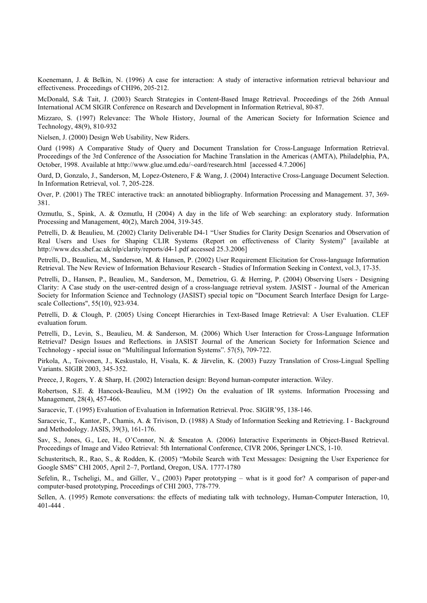Koenemann, J. & Belkin, N. (1996) A case for interaction: A study of interactive information retrieval behaviour and effectiveness. Proceedings of CHI96, 205-212.

McDonald, S.& Tait, J. (2003) Search Strategies in Content-Based Image Retrieval. Proceedings of the 26th Annual International ACM SIGIR Conference on Research and Development in Information Retrieval, 80-87.

Mizzaro, S. (1997) Relevance: The Whole History, Journal of the American Society for Information Science and Technology, 48(9), 810-932

Nielsen, J. (2000) Design Web Usability, New Riders.

Oard (1998) A Comparative Study of Query and Document Translation for Cross-Language Information Retrieval. Proceedings of the 3rd Conference of the Association for Machine Translation in the Americas (AMTA), Philadelphia, PA, October, 1998. Available at http://www.glue.umd.edu/~oard/research.html [accessed 4.7.2006]

Oard, D, Gonzalo, J., Sanderson, M, Lopez-Ostenero, F & Wang, J. (2004) Interactive Cross-Language Document Selection. In Information Retrieval, vol. 7, 205-228.

Over, P. (2001) The TREC interactive track: an annotated bibliography. Information Processing and Management. 37, 369- 381.

Ozmutlu, S., Spink, A. & Ozmutlu, H (2004) A day in the life of Web searching: an exploratory study. Information Processing and Management, 40(2), March 2004, 319-345.

Petrelli, D. & Beaulieu, M. (2002) Clarity Deliverable D4-1 "User Studies for Clarity Design Scenarios and Observation of Real Users and Uses for Shaping CLIR Systems (Report on effectiveness of Clarity System)" [available at http://www.dcs.shef.ac.uk/nlp/clarity/reports/d4-1.pdf accessed 25.3.2006]

Petrelli, D., Beaulieu, M., Sanderson, M. & Hansen, P. (2002) User Requirement Elicitation for Cross-language Information Retrieval. The New Review of Information Behaviour Research - Studies of Information Seeking in Context, vol.3, 17-35.

Petrelli, D., Hansen, P., Beaulieu, M., Sanderson, M., Demetriou, G. & Herring, P. (2004) Observing Users - Designing Clarity: A Case study on the user-centred design of a cross-language retrieval system. JASIST - Journal of the American Society for Information Science and Technology (JASIST) special topic on "Document Search Interface Design for Largescale Collections", 55(10), 923-934.

Petrelli, D. & Clough, P. (2005) Using Concept Hierarchies in Text-Based Image Retrieval: A User Evaluation. CLEF evaluation forum.

Petrelli, D., Levin, S., Beaulieu, M. & Sanderson, M. (2006) Which User Interaction for Cross-Language Information Retrieval? Design Issues and Reflections. in JASIST Journal of the American Society for Information Science and Technology - special issue on "Multilingual Information Systems". 57(5), 709-722.

Pirkola, A., Toivonen, J., Keskustalo, H, Visala, K. & Järvelin, K. (2003) Fuzzy Translation of Cross-Lingual Spelling Variants. SIGIR 2003, 345-352.

Preece, J, Rogers, Y. & Sharp, H. (2002) Interaction design: Beyond human-computer interaction. Wiley.

Robertson, S.E. & Hancock-Beaulieu, M.M (1992) On the evaluation of IR systems. Information Processing and Management, 28(4), 457-466.

Saracevic, T. (1995) Evaluation of Evaluation in Information Retrieval. Proc. SIGIR'95, 138-146.

Saracevic, T., Kantor, P., Chamis, A. & Trivison, D. (1988) A Study of Information Seeking and Retrieving. I - Background and Methodology. JASIS, 39(3), 161-176.

Sav, S., Jones, G., Lee, H., O'Connor, N. & Smeaton A. (2006) Interactive Experiments in Object-Based Retrieval. Proceedings of Image and Video Retrieval: 5th International Conference, CIVR 2006, Springer LNCS, 1-10.

Schusteritsch, R., Rao, S., & Rodden, K. (2005) "Mobile Search with Text Messages: Designing the User Experience for Google SMS" CHI 2005, April 2–7, Portland, Oregon, USA. 1777-1780

Sefelin, R., Tscheligi, M., and Giller, V., (2003) Paper prototyping – what is it good for? A comparison of paper-and computer-based prototyping, Proceedings of CHI 2003, 778-779.

Sellen, A. (1995) Remote conversations: the effects of mediating talk with technology, Human-Computer Interaction, 10, 401-444 .